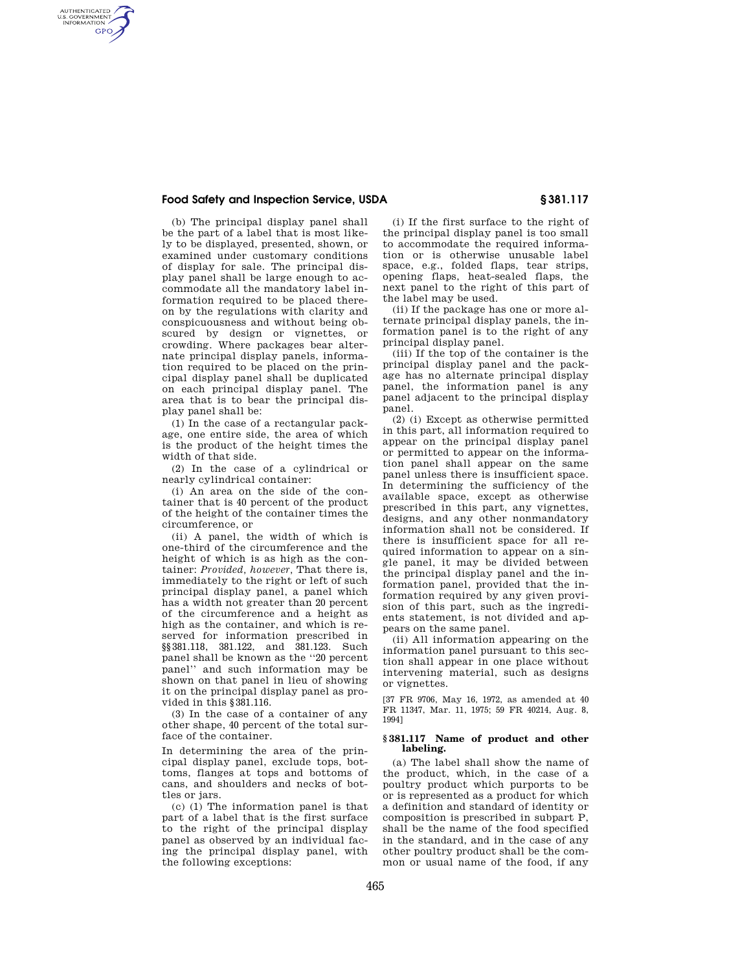## **Food Safety and Inspection Service, USDA § 381.117**

AUTHENTICATED<br>U.S. GOVERNMENT<br>INFORMATION **GPO** 

> (b) The principal display panel shall be the part of a label that is most likely to be displayed, presented, shown, or examined under customary conditions of display for sale. The principal display panel shall be large enough to accommodate all the mandatory label information required to be placed thereon by the regulations with clarity and conspicuousness and without being obscured by design or vignettes, or crowding. Where packages bear alternate principal display panels, information required to be placed on the principal display panel shall be duplicated on each principal display panel. The area that is to bear the principal display panel shall be:

(1) In the case of a rectangular package, one entire side, the area of which is the product of the height times the width of that side.

(2) In the case of a cylindrical or nearly cylindrical container:

(i) An area on the side of the container that is 40 percent of the product of the height of the container times the circumference, or

(ii) A panel, the width of which is one-third of the circumference and the height of which is as high as the container: *Provided, however,* That there is, immediately to the right or left of such principal display panel, a panel which has a width not greater than 20 percent of the circumference and a height as high as the container, and which is reserved for information prescribed in §§381.118, 381.122, and 381.123. Such panel shall be known as the ''20 percent panel'' and such information may be shown on that panel in lieu of showing it on the principal display panel as provided in this §381.116.

(3) In the case of a container of any other shape, 40 percent of the total surface of the container.

In determining the area of the principal display panel, exclude tops, bottoms, flanges at tops and bottoms of cans, and shoulders and necks of bottles or jars.

(c) (1) The information panel is that part of a label that is the first surface to the right of the principal display panel as observed by an individual facing the principal display panel, with the following exceptions:

(i) If the first surface to the right of the principal display panel is too small to accommodate the required information or is otherwise unusable label space, e.g., folded flaps, tear strips, opening flaps, heat-sealed flaps, the next panel to the right of this part of the label may be used.

(ii) If the package has one or more alternate principal display panels, the information panel is to the right of any principal display panel.

(iii) If the top of the container is the principal display panel and the package has no alternate principal display panel, the information panel is any panel adjacent to the principal display panel.

(2) (i) Except as otherwise permitted in this part, all information required to appear on the principal display panel or permitted to appear on the information panel shall appear on the same panel unless there is insufficient space. In determining the sufficiency of the available space, except as otherwise prescribed in this part, any vignettes, designs, and any other nonmandatory information shall not be considered. If there is insufficient space for all required information to appear on a single panel, it may be divided between the principal display panel and the information panel, provided that the information required by any given provision of this part, such as the ingredients statement, is not divided and appears on the same panel.

(ii) All information appearing on the information panel pursuant to this section shall appear in one place without intervening material, such as designs or vignettes.

[37 FR 9706, May 16, 1972, as amended at 40 FR 11347, Mar. 11, 1975; 59 FR 40214, Aug. 8, 1994]

#### **§ 381.117 Name of product and other labeling.**

(a) The label shall show the name of the product, which, in the case of a poultry product which purports to be or is represented as a product for which a definition and standard of identity or composition is prescribed in subpart P, shall be the name of the food specified in the standard, and in the case of any other poultry product shall be the common or usual name of the food, if any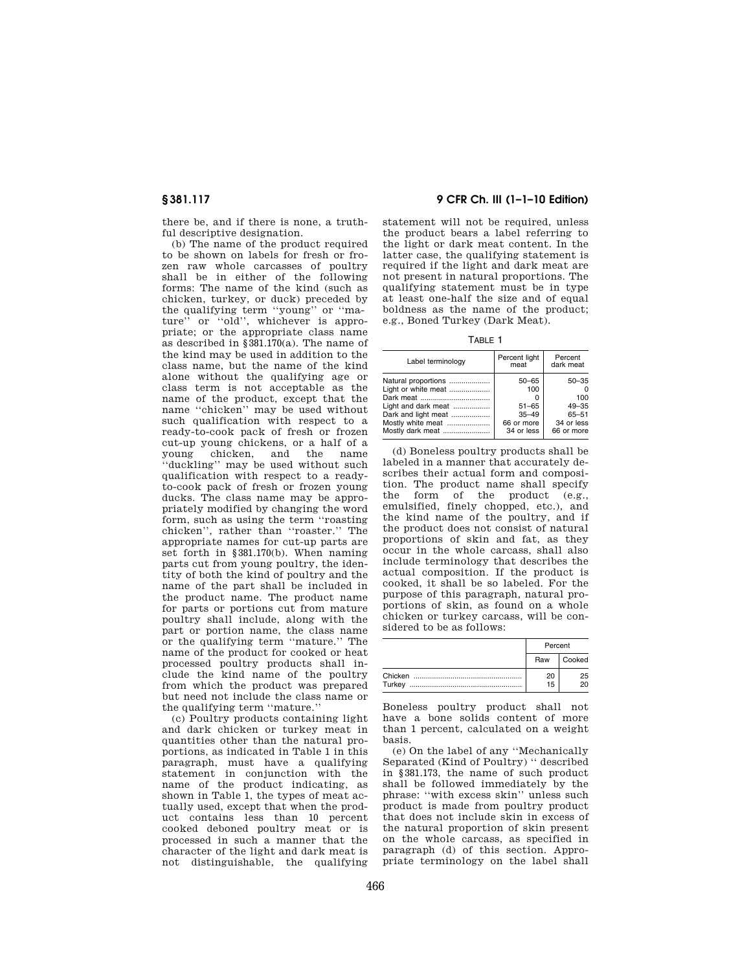there be, and if there is none, a truthful descriptive designation.

(b) The name of the product required to be shown on labels for fresh or frozen raw whole carcasses of poultry shall be in either of the following forms: The name of the kind (such as chicken, turkey, or duck) preceded by the qualifying term ''young'' or ''mature'' or ''old'', whichever is appropriate; or the appropriate class name as described in §381.170(a). The name of the kind may be used in addition to the class name, but the name of the kind alone without the qualifying age or class term is not acceptable as the name of the product, except that the name ''chicken'' may be used without such qualification with respect to a ready-to-cook pack of fresh or frozen cut-up young chickens, or a half of a chicken, and the name ''duckling'' may be used without such qualification with respect to a readyto-cook pack of fresh or frozen young ducks. The class name may be appropriately modified by changing the word form, such as using the term ''roasting chicken'', rather than ''roaster.'' The appropriate names for cut-up parts are set forth in §381.170(b). When naming parts cut from young poultry, the identity of both the kind of poultry and the name of the part shall be included in the product name. The product name for parts or portions cut from mature poultry shall include, along with the part or portion name, the class name or the qualifying term ''mature.'' The name of the product for cooked or heat processed poultry products shall include the kind name of the poultry from which the product was prepared but need not include the class name or the qualifying term ''mature.''

(c) Poultry products containing light and dark chicken or turkey meat in quantities other than the natural proportions, as indicated in Table 1 in this paragraph, must have a qualifying statement in conjunction with the name of the product indicating, as shown in Table 1, the types of meat actually used, except that when the product contains less than 10 percent cooked deboned poultry meat or is processed in such a manner that the character of the light and dark meat is not distinguishable, the qualifying

## **§ 381.117 9 CFR Ch. III (1–1–10 Edition)**

statement will not be required, unless the product bears a label referring to the light or dark meat content. In the latter case, the qualifying statement is required if the light and dark meat are not present in natural proportions. The qualifying statement must be in type at least one-half the size and of equal boldness as the name of the product; e.g., Boned Turkey (Dark Meat).

TABLE 1

| Label terminology                                                                                                                              | Percent light<br>meat                                                  | Percent<br>dark meat                                               |
|------------------------------------------------------------------------------------------------------------------------------------------------|------------------------------------------------------------------------|--------------------------------------------------------------------|
| Natural proportions<br>Light or white meat<br>Dark meat<br>Light and dark meat<br>Dark and light meat<br>Mostly white meat<br>Mostly dark meat | $50 - 65$<br>100<br>$51 - 65$<br>$35 - 49$<br>66 or more<br>34 or less | $50 - 35$<br>100<br>$49 - 35$<br>65-51<br>34 or less<br>66 or more |

(d) Boneless poultry products shall be labeled in a manner that accurately describes their actual form and composition. The product name shall specify the form of the product (e.g., emulsified, finely chopped, etc.), and the kind name of the poultry, and if the product does not consist of natural proportions of skin and fat, as they occur in the whole carcass, shall also include terminology that describes the actual composition. If the product is cooked, it shall be so labeled. For the purpose of this paragraph, natural proportions of skin, as found on a whole chicken or turkey carcass, will be considered to be as follows:

|        | Percent  |          |  |
|--------|----------|----------|--|
|        | Raw      | Cooked   |  |
| Turkey | 20<br>15 | 25<br>20 |  |

Boneless poultry product shall not have a bone solids content of more than 1 percent, calculated on a weight basis.

(e) On the label of any ''Mechanically Separated (Kind of Poultry) '' described in §381.173, the name of such product shall be followed immediately by the phrase: ''with excess skin'' unless such product is made from poultry product that does not include skin in excess of the natural proportion of skin present on the whole carcass, as specified in paragraph (d) of this section. Appropriate terminology on the label shall